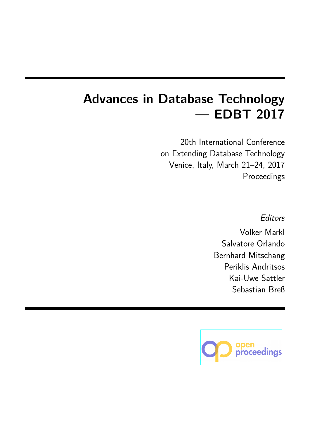# **Advances in Database Technology — EDBT 2017**

20th International Conference on Extending Database Technology Venice, Italy, March 21–24, 2017 Proceedings

*Editors*

Volker Markl Salvatore Orlando Bernhard Mitschang Periklis Andritsos Kai-Uwe Sattler Sebastian Breß

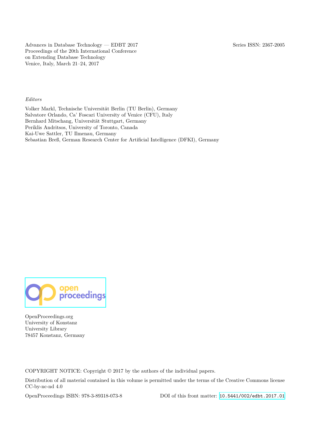Advances in Database Technology — EDBT 2017 Series ISSN: 2367-2005 Proceedings of the 20th International Conference on Extending Database Technology Venice, Italy, March 21–24, 2017

#### *Editors*

Volker Markl, Technische Universität Berlin (TU Berlin), Germany Salvatore Orlando, Ca' Foscari University of Venice (CFU), Italy Bernhard Mitschang, Universität Stuttgart, Germany Periklis Andritsos, University of Toronto, Canada Kai-Uwe Sattler, TU Ilmenau, Germany Sebastian Breß, German Research Center for Artificial Intelligence (DFKI), Germany



OpenProceedings.org University of Konstanz University Library 78457 Konstanz, Germany

COPYRIGHT NOTICE: Copyright © 2017 by the authors of the individual papers.

Distribution of all material contained in this volume is permitted under the terms of the Creative Commons license CC-by-nc-nd 4.0

OpenProceedings ISBN: 978-3-89318-073-8 DOI of this front matter: [10.5441/002/edbt.2017.01](http://dx.doi.org/10.5441/002/edbt.2017.01)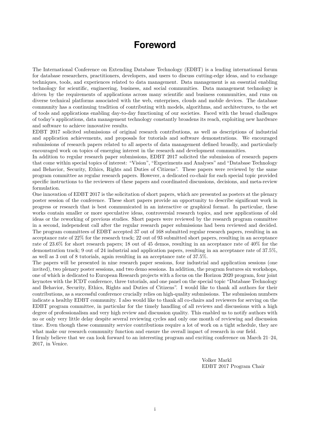### **Foreword**

<span id="page-2-0"></span>The International Conference on Extending Database Technology (EDBT) is a leading international forum for database researchers, practitioners, developers, and users to discuss cutting-edge ideas, and to exchange techniques, tools, and experiences related to data management. Data management is an essential enabling technology for scientific, engineering, business, and social communities. Data management technology is driven by the requirements of applications across many scientific and business communities, and runs on diverse technical platforms associated with the web, enterprises, clouds and mobile devices. The database community has a continuing tradition of contributing with models, algorithms, and architectures, to the set of tools and applications enabling day-to-day functioning of our societies. Faced with the broad challenges of today's applications, data management technology constantly broadens its reach, exploiting new hardware and software to achieve innovative results.

EDBT 2017 solicited submissions of original research contributions, as well as descriptions of industrial and application achievements, and proposals for tutorials and software demonstrations. We encouraged submissions of research papers related to all aspects of data management defined broadly, and particularly encouraged work on topics of emerging interest in the research and development communities.

In addition to regular research paper submissions, EDBT 2017 solicited the submission of research papers that come within special topics of interest: "Vision", "Experiments and Analyses" and "Database Technology and Behavior, Security, Ethics, Rights and Duties of Citizens". These papers were reviewed by the same program committee as regular research papers. However, a dedicated co-chair for each special topic provided specific instructions to the reviewers of these papers and coordinated discussions, decisions, and meta-review formulation.

One innovation of EDBT 2017 is the solicitation of short papers, which are presented as posters at the plenary poster session of the conference. These short papers provide an opportunity to describe significant work in progress or research that is best communicated in an interactive or graphical format. In particular, these works contain smaller or more speculative ideas, controversial research topics, and new applications of old ideas or the reworking of previous studies. Short papers were reviewed by the research program committee in a second, independent call after the regular research paper submissions had been reviewed and decided. The program committees of EDBT accepted 37 out of 168 submitted regular research papers, resulting in an acceptance rate of 22% for the research track; 22 out of 93 submitted short papers, resulting in an acceptance rate of 23.6% for short research papers; 18 out of 45 demos, resulting in an acceptance rate of 40% for the demonstration track; 9 out of 24 industrial and application papers, resulting in an acceptance rate of 37.5%, as well as 3 out of 8 tutorials, again resulting in an acceptance rate of 37.5%.

The papers will be presented in nine research paper sessions, four industrial and application sessions (one invited), two plenary poster sessions, and two demo sessions. In addition, the program features six workshops, one of which is dedicated to European Research projects with a focus on the Horizon 2020 program, four joint keynotes with the ICDT conference, three tutorials, and one panel on the special topic "Database Technology and Behavior, Security, Ethics, Rights and Duties of Citizens". I would like to thank all authors for their contributions, as a successful conference crucially relies on high-quality submissions. The submission numbers indicate a healthy EDBT community. I also would like to thank all co-chairs and reviewers for serving on the EDBT program committee, in particular for the timely handling of all reviews and discussions with a high degree of professionalism and very high review and discussion quality. This enabled us to notify authors with no or only very little delay despite several reviewing cycles and only one month of reviewing and discussion time. Even though these community service contributions require a lot of work on a tight schedule, they are what make our research community function and ensure the overall impact of research in our field. I firmly believe that we can look forward to an interesting program and exciting conference on March 21–24,

2017, in Venice.

Volker Markl EDBT 2017 Program Chair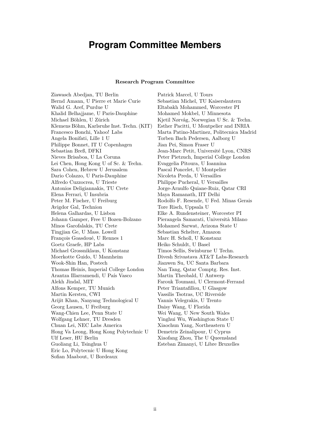### **Program Committee Members**

#### **Research Program Committee**

<span id="page-3-0"></span>Ziawasch Abedjan, TU Berlin Bernd Amann, U Pierre et Marie Curie Walid G. Aref, Purdue U Khalid Belhajjame, U Paris-Dauphine Michael Böhlen, U Zürich Klemens Böhm, Karlsruhe Inst. Techn. (KIT) Francesco Bonchi, Yahoo! Labs Angela Bonifati, Lille 1 U Philippe Bonnet, IT U Copenhagen Sebastian Breß, DFKI Nieves Brisaboa, U La Coruna Lei Chen, Hong Kong U of Sc. & Techn. Sara Cohen, Hebrew U Jerusalem Dario Colazzo, U Paris-Dauphine Alfredo Cuzzocrea, U Trieste Antonios Deligiannakis, TU Crete Elena Ferrari, U Insubria Peter M. Fischer, U Freiburg Avigdor Gal, Technion Helena Galhardas, U Lisbon Johann Gamper, Free U Bozen-Bolzano Minos Garofalakis, TU Crete Tingjian Ge, U Mass. Lowell François Goasdoué, U Rennes 1 Goetz Graefe, HP Labs Michael Grossniklaus, U Konstanz Moerkotte Guido, U Mannheim Wook-Shin Han, Postech Thomas Heinis, Imperial College London Arantza Illarramendi, U País Vasco Alekh Jindal, MIT Alfons Kemper, TU Munich Martin Kersten, CWI Arijit Khan, Nanyang Technological U Georg Lausen, U Freiburg Wang-Chien Lee, Penn State U Wolfgang Lehner, TU Dresden Chuan Lei, NEC Labs America Hong Va Leong, Hong Kong Polytechnic U Ulf Leser, HU Berlin Guoliang Li, Tsinghua U Eric Lo, Polytecnic U Hong Kong Sofian Maabout, U Bordeaux

Patrick Marcel, U Tours Sebastian Michel, TU Kaiserslautern Eltabakh Mohammed, Worcester PI Mohamed Mokbel, U Minnesota Kjetil Nørvåg, Norwegian U Sc. & Techn. Esther Pacitti, U Montpelier and INRIA Marta Patino-Martinez, Politecnica Madrid Torben Bach Pedersen, Aalborg U Jian Pei, Simon Fraser U Jean-Marc Petit, Université Lyon, CNRS Peter Pietzuch, Imperial College London Evaggelia Pitoura, U Ioannina Pascal Poncelet, U Montpelier Nicoleta Preda, U Versailles Philippe Pucheral, U Versailles Jorge-Arnulfo Quiane-Ruiz, Qatar CRI Maya Ramanath, IIT Delhi Rodolfo F. Resende, U Fed. Minas Gerais Tore Risch, Uppsala U Elke A. Rundensteiner, Worcester PI Pierangela Samarati, Università Milano Mohamed Sarwat, Arizona State U Sebastian Schelter, Amazon Marc H. Scholl, U Konstanz Heiko Schuldt, U Basel Timos Sellis, Swinburne U Techn. Divesh Srivastava AT&T Labs-Research Jianwen Su, UC Santa Barbara Nan Tang, Qatar Comptg. Res. Inst. Martin Theobald, U Antwerp Farouk Toumani, U Clermont-Ferrand Peter Triantafillou, U Glasgow Vassilis Tsotras, UC Riverside Yannis Velegrakis, U Trento Daisy Wang, U Florida Wei Wang, U New South Wales Yinghui Wu, Washington State U Xiaochun Yang, Northeastern U Demetris Zeinalipour, U Cyprus Xiaofang Zhou, The U Queensland Esteban Zimanyi, U Libre Bruxelles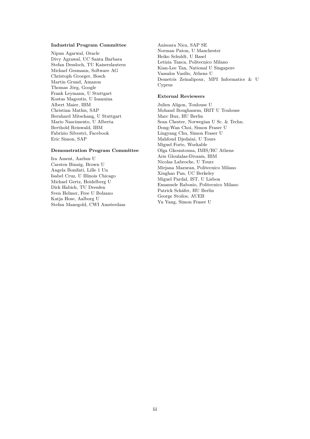#### **Industrial Program Committee**

Nipun Agarwal, Oracle Divy Agrawal, UC Santa Barbara Stefan Dessloch, TU Kaiserslautern Michael Gesmann, Software AG Christoph Groeger, Bosch Martin Grund, Amazon Thomas Jörg, Google Frank Leymann, U Stuttgart Kostas Magoutis, U Ioannina Albert Maier, IBM Christian Mathis, SAP Bernhard Mitschang, U Stuttgart Mario Nascimento, U Alberta Berthold Reinwald, IBM Fabrizio Silvestri, Facebook Eric Simon, SAP

#### **Demonstration Program Committee**

Ira Assent, Aarhus U Carsten Binnig, Brown U Angela Bonifati, Lille 1 Un Isabel Cruz, U Illinois Chicago Michael Gertz, Heidelberg U Dirk Habich, TU Dresden Sven Helmer, Free U Bolzano Katja Hose, Aalborg U Stefan Manegold, CWI Amsterdam Anisoara Nica, SAP SE Norman Paton, U Manchester Heiko Schuldt, U Basel Letizia Tanca, Politecnico Milano Kian-Lee Tan, National U Singapore Vassalos Vasilis, Athens U Demetris Zeinalipour, MPI Informatics & U Cyprus

#### **External Reviewers**

Julien Aligon, Toulouse U Mohand Boughanem, IRIT U Toulouse Marc Bux, HU Berlin Sean Chester, Norwegian U Sc. & Techn. Dong-Wan Choi, Simon Fraser U Lingyang Chu, Simon Fraser U Mahfoud Djedaini, U Tours Miguel Forte, Workable Olga Gkountouna, IMIS/RC Athens Aris Gloulalas-Divanis, IBM Nicolas Labroche, U Tours Mirjana Mazuran, Politecnico Milano Xinghao Pan, UC Berkeley Miguel Pardal, IST, U Lisbon Emanuele Rabosio, Politecnico Milano Patrick Schäfer, HU Berlin George Stoilos, AUEB Yu Yang, Simon Fraser U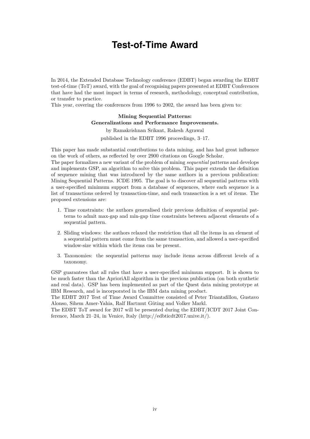### **Test-of-Time Award**

<span id="page-5-0"></span>In 2014, the Extended Database Technology conference (EDBT) began awarding the EDBT test-of-time (ToT) award, with the goal of recognising papers presented at EDBT Conferences that have had the most impact in terms of research, methodology, conceptual contribution, or transfer to practice.

This year, covering the conferences from 1996 to 2002, the award has been given to:

#### **Mining Sequential Patterns: Generalizations and Performance Improvements.**

by Ramakrishnan Srikant, Rakesh Agrawal published in the EDBT 1996 proceedings, 3–17.

This paper has made substantial contributions to data mining, and has had great influence on the work of others, as reflected by over 2900 citations on Google Scholar.

The paper formalizes a new variant of the problem of mining *sequential* patterns and develops and implements GSP, an algorithm to solve this problem. This paper extends the definition of sequence mining that was introduced by the same authors in a previous publication: Mining Sequential Patterns. ICDE 1995. The goal is to discover all sequential patterns with a user-specified minimum support from a database of sequences, where each sequence is a list of transactions ordered by transaction-time, and each transaction is a set of items. The proposed extensions are:

- 1. Time constraints: the authors generalised their previous definition of sequential patterns to admit max-gap and min-gap time constraints between adjacent elements of a sequential pattern.
- 2. Sliding windows: the authors relaxed the restriction that all the items in an element of a sequential pattern must come from the same transaction, and allowed a user-specified window-size within which the items can be present.
- 3. Taxonomies: the sequential patterns may include items across different levels of a taxonomy.

GSP guarantees that all rules that have a user-specified minimum support. It is shown to be much faster than the AprioriAll algorithm in the previous publication (on both synthetic and real data). GSP has been implemented as part of the Quest data mining prototype at IBM Research, and is incorporated in the IBM data mining product.

The EDBT 2017 Test of Time Award Committee consisted of Peter Triantafillou, Gustavo Alonso, Sihem Amer-Yahia, Ralf Hartmut Güting and Volker Markl.

The EDBT ToT award for 2017 will be presented during the EDBT/ICDT 2017 Joint Conference, March 21–24, in Venice, Italy (http://edbticdt2017.unive.it/).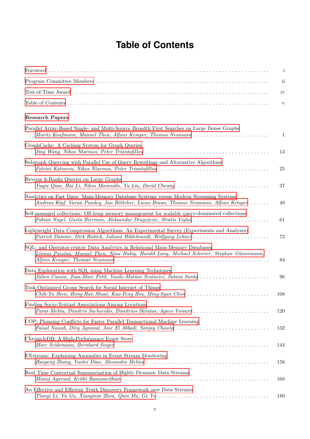## **Table of Contents**

<span id="page-6-0"></span>

|                                                                                                                                                                              | $\mathbf{i}$            |
|------------------------------------------------------------------------------------------------------------------------------------------------------------------------------|-------------------------|
|                                                                                                                                                                              | $\overline{\mathbf{u}}$ |
|                                                                                                                                                                              | iv                      |
|                                                                                                                                                                              | V                       |
| <b>Research Papers</b>                                                                                                                                                       |                         |
| Parallel Array-Based Single- and Multi-Source Breadth First Searches on Large Dense Graphs<br>Moritz Kaufmann, Manuel Then, Alfons Kemper, Thomas Neumann                    | 1                       |
| Graph Cache: A Caching System for Graph Queries                                                                                                                              | 13                      |
| Subgraph Querying with Parallel Use of Query Rewritings and Alternative Algorithms                                                                                           | 25                      |
| Reverse k-Ranks Queries on Large Graphs<br>Yuqiu Qian, Hui Li, Nikos Mamoulis, Yu Liu, David Cheung                                                                          | 37                      |
| Analytics on Fast Data: Main-Memory Database Systems versus Modern Streaming Systems<br>Andreas Kipf, Varun Pandey, Jan Böttcher, Lucas Braun, Thomas Neumann, Alfons Kemper | 49                      |
| Self-managed collections: Off-heap memory management for scalable query-dominated collections<br>Fabian Nagel, Gavin Bierman, Aleksandar Dragojevic, Stratis Viglas          | 61                      |
| Lightweight Data Compression Algorithms: An Experimental Survey (Experiments and Analyses)<br>Patrick Damme, Dirk Habich, Juliana Hildebrandt, Wolfgang Lehner               | 72                      |
| SQL- and Operator-centric Data Analytics in Relational Main-Memory Databases<br>Linnea Passing, Manuel Then, Nina Hubig, Harald Lang, Michael Schreier, Stephan Günnemann,   | 84                      |
| Data Exploration with SQL using Machine Learning Techniques<br>Julien Cumin, Jean-Marc Petit, Vasile-Marian Scuturici, Sabina Surdu                                          | 96                      |
| Task-Optimized Group Search for Social Internet of Things<br>$Chih-Ya\ Shen, Hong-Han Shuai, Kuo-Feng Hsu, Ming-Syan Chen \ldots \ldots \ldots \ldots \ldots \ldots \ldots$  | 108                     |
| Finding Socio-Textual Associations Among Locations<br>Paras Mehta, Dimitris Sacharidis, Dimitrios Skoutas, Agnes Voisard                                                     | 120                     |
| COP: Planning Conflicts for Faster Parallel Transactional Machine Learning<br>Faisal Nawab, Divy Agrawal, Amr El Abbadi, Sanjay Chawla                                       | 132                     |
| ChronicleDB: A High-Performance Event Store                                                                                                                                  | 144                     |
| EXstream: Explaining Anomalies in Event Stream Monitoring                                                                                                                    | 156                     |
| Real Time Contextual Summarization of Highly Dynamic Data Streams                                                                                                            | 168                     |
| An Effective and Efficient Truth Discovery Framework over Data Streams                                                                                                       | 180                     |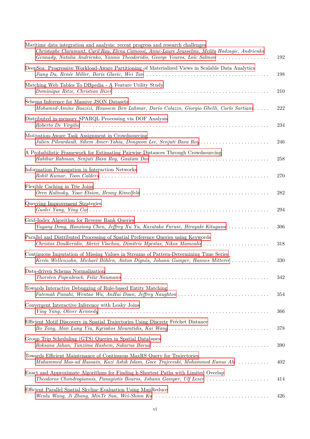| Maritime data integration and analysis: recent progress and research challenges<br>Christophe Claramunt, Cyril Ray, Elena Camossi, Anne-Laure Jousselme, Melita Hadzagic, Andrienko<br>Gennady, Natalia Andrienko, Yannis Theodoridis, George Vouros, Loïc Salmon | 192 |
|-------------------------------------------------------------------------------------------------------------------------------------------------------------------------------------------------------------------------------------------------------------------|-----|
| DeepSea: Progressive Workload-Aware Partitioning of Materialized Views in Scalable Data Analytics                                                                                                                                                                 | 198 |
| Matching Web Tables To DBpedia - A Feature Utility Study                                                                                                                                                                                                          | 210 |
| Schema Inference for Massive JSON Datasets<br>Mohamed-Amine Baazizi, Houssem Ben Lahmar, Dario Colazzo, Giorgio Ghelli, Carlo Sartiani                                                                                                                            | 222 |
| Distributed in-memory SPARQL Processing via DOF Analysis                                                                                                                                                                                                          | 234 |
| Motivation-Aware Task Assignment in Crowdsourcing<br>Julien Pilourdault, Sihem Amer-Yahia, Dongwon Lee, Senjuti Basu Roy                                                                                                                                          | 246 |
| A Probabilistic Framework for Estimating Pairwise Distances Through Crowdsourcing                                                                                                                                                                                 | 258 |
| Information Propagation in Interaction Networks                                                                                                                                                                                                                   | 270 |
| Flexible Caching in Trie Joins                                                                                                                                                                                                                                    | 282 |
| Querying Improvement Strategies                                                                                                                                                                                                                                   | 294 |
| Grid-Index Algorithm for Reverse Rank Queries<br>Yuyang Dong, Hanxiong Chen, Jeffrey Xu Yu, Kazutaka Furuse, Hiroyuki Kitagawa                                                                                                                                    | 306 |
| Parallel and Distributed Processing of Spatial Preference Queries using Keywords<br>Christos Doulkeridis, Akrivi Vlachou, Dimitris Mpestas, Nikos Mamoulis                                                                                                        | 318 |
| Continuous Imputation of Missing Values in Streams of Pattern-Determining Time Series<br>Kevin Wellenzohn, Michael Böhlen, Anton Dignös, Johann Gamper, Hannes Mitterer                                                                                           | 330 |
| Data-driven Schema Normalization                                                                                                                                                                                                                                  | 342 |
| Towards Interactive Debugging of Rule-based Entity Matching<br>Fatemah Panahi, Wentao Wu, AnHai Doan, Jeffrey Naughton                                                                                                                                            | 354 |
| Convergent Interactive Inference with Leaky Joins                                                                                                                                                                                                                 | 366 |
| Efficient Motif Discovery in Spatial Trajectories Using Discrete Fréchet Distance                                                                                                                                                                                 | 378 |
| Group Trip Scheduling (GTS) Queries in Spatial Databases                                                                                                                                                                                                          | 390 |
| Towards Efficient Maintenance of Continuous MaxRS Query for Trajectories<br>Muhammed Mas-ud Hussain, Kazi Ashik Islam, Goce Trajcevski, Mohammed Eunus Ali                                                                                                        | 402 |
| Exact and Approximate Algorithms for Finding k-Shortest Paths with Limited Overlap<br>Theodoros Chondrogiannis, Panagiotis Bouros, Johann Gamper, Ulf Leser                                                                                                       | 414 |
| Efficient Parallel Spatial Skyline Evaluation Using MapReduce                                                                                                                                                                                                     | 426 |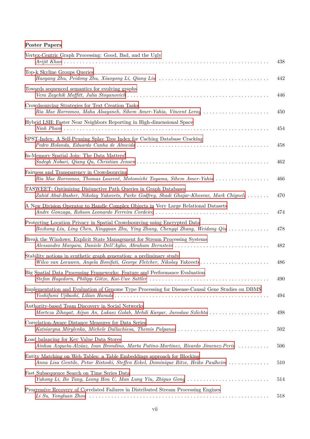#### **[Poster Papers](#page--1-1)**

| Vertex-Centric Graph Processing: Good, Bad, and the Ugly                                                                                                     | 438 |
|--------------------------------------------------------------------------------------------------------------------------------------------------------------|-----|
| Top-k Skyline Groups Queries                                                                                                                                 | 442 |
| Towards sequenced semantics for evolving graphs                                                                                                              | 446 |
| Crowdsourcing Strategies for Text Creation Tasks<br>Ria Mae Borromeo, Maha Alsaysneh, Sihem Amer-Yahia, Vincent Leroy                                        | 450 |
| Hybrid LSH: Faster Near Neighbors Reporting in High-dimensional Space                                                                                        | 454 |
| SPST-Index: A Self-Pruning Splay Tree Index for Caching Database Cracking                                                                                    | 458 |
| In-Memory Spatial Join: The Data Matters!                                                                                                                    | 462 |
| Fairness and Transparency in Crowdsourcing<br>Ria Mae Borromeo, Thomas Laurent, Motomichi Toyama, Sihem Amer-Yahia                                           | 466 |
| TASWEET: Optimizing Disjunctive Path Queries in Graph Databases<br>Zahid Abul-Basher, Nikolay Yakovets, Parke Godfrey, Shadi Ghajar-Khosrav, Mark Chignell   | 470 |
| A New Division Operator to Handle Complex Objects in Very Large Relational Datasets                                                                          | 474 |
| Protecting Location Privacy in Spatial Crowdsourcing using Encrypted Data<br>Bozhong Liu, Ling Chen, Xingquan Zhu, Ying Zhang, Chengqi Zhang, Weidong Qiu    | 478 |
| Break the Windows: Explicit State Management for Stream Processing Systems                                                                                   | 482 |
| Stability notions in synthetic graph generation: a preliminary study<br>Wilco van Leeuwen, Angela Bonifati, George Fletcher, Nikolay Yakovets                | 486 |
| Big Spatial Data Processing Frameworks: Feature and Performance Evaluation                                                                                   | 490 |
| Implementation and Evaluation of Genome Type Processing for Disease-Causal Gene Studies on DBMS                                                              | 494 |
| Authority-based Team Discovery in Social Networks<br>Morteza Zihayat, Aijun An, Lukasz Golab, Mehdi Kargar, Jaroslaw Szlichta                                | 498 |
| Correlation-Aware Distance Measures for Data Series                                                                                                          | 502 |
| Load balancing for Key Value Data Stores<br>Ainhoa Azqueta-Alzúaz, Ivan Brondino, Marta Patino-Martinez, Ricardo Jimenez-Peris                               | 506 |
| Entity Matching on Web Tables: a Table Embeddings approach for Blocking<br>Anna Lisa Gentile, Petar Ristoski, Steffen Eckel, Dominique Ritze, Heiko Paulheim | 510 |
| Fast Subsequence Search on Time Series Data<br>Yuhong Li, Bo Tang, Leong Hou U, Man Lung Yiu, Zhiguo Gong                                                    | 514 |
| Progressive Recovery of Correlated Failures in Distributed Stream Processing Engines                                                                         | 518 |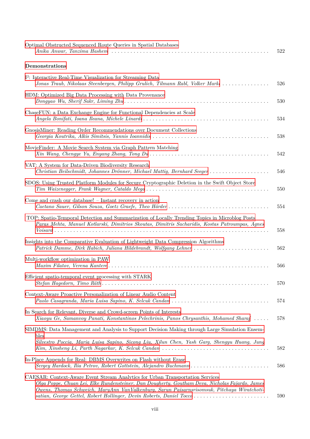| Optimal Obstructed Sequenced Route Queries in Spatial Databases                                                                                                                                                                                                                                                                                          | 522 |
|----------------------------------------------------------------------------------------------------------------------------------------------------------------------------------------------------------------------------------------------------------------------------------------------------------------------------------------------------------|-----|
| Demonstrations                                                                                                                                                                                                                                                                                                                                           |     |
| I <sup>2</sup> : Interactive Real-Time Visualization for Streaming Data<br>Jonas Traub, Nikolaas Steenbergen, Philipp Grulich, Tilmann Rabl, Volker Markl                                                                                                                                                                                                | 526 |
| HDM: Optimized Big Data Processing with Data Provenance                                                                                                                                                                                                                                                                                                  | 530 |
| ChaseFUN: a Data Exchange Engine for Functional Dependencies at Scale                                                                                                                                                                                                                                                                                    | 534 |
| GnosisMiner: Reading Order Recommendations over Document Collections                                                                                                                                                                                                                                                                                     | 538 |
| MovieFinder: A Movie Search System via Graph Pattern Matching                                                                                                                                                                                                                                                                                            | 542 |
| VAT: A System for Data-Driven Biodiversity Research<br>Christian Beilschmidt, Johannes Drönner, Michael Mattig, Bernhard Seeger                                                                                                                                                                                                                          | 546 |
| SDOS: Using Trusted Platform Modules for Secure Cryptographic Deletion in the Swift Object Store                                                                                                                                                                                                                                                         | 550 |
| Come and crash our database! – Instant recovery in action                                                                                                                                                                                                                                                                                                | 554 |
| TOP: Spatio-Temporal Detection and Summarization of Locally Trending Topics in Microblog Posts<br>Paras Mehta, Manuel Kotlarski, Dimitrios Skoutas, Dimitris Sacharidis, Kostas Patroumpas, Agnes                                                                                                                                                        | 558 |
| Insights into the Comparative Evaluation of Lightweight Data Compression Algorithms<br>Patrick Damme, Dirk Habich, Juliana Hildebrandt, Wolfgang Lehner                                                                                                                                                                                                  | 562 |
| Multi-workflow optimization in PAW                                                                                                                                                                                                                                                                                                                       | 566 |
| Efficient spatio-temporal event processing with STARK                                                                                                                                                                                                                                                                                                    | 570 |
| Context-Aware Proactive Personalization of Linear Audio Content<br>Paolo Casagranda, Maria Luisa Sapino, K. Selcuk Candan                                                                                                                                                                                                                                | 574 |
| In Search for Relevant, Diverse and Crowd-screen Points of Interests<br>Xiaoyu Ge, Samanvoy Panati, Konstantinos Pelechrinis, Panos Chrysanthis, Mohamed Sharaf                                                                                                                                                                                          | 578 |
| SIMDMS: Data Management and Analysis to Support Decision Making through Large Simulation Ensem-<br>bles<br>Silvestro Poccia, Maria Luisa Sapino, Sicong Liu, Xilun Chen, Yash Garg, Shengyu Huang, Jung                                                                                                                                                  | 582 |
| In-Place Appends for Real: DBMS Overwrites on Flash without Erase<br>Sergey Hardock, Ilia Petrov, Robert Gottstein, Alejandro Buchmann                                                                                                                                                                                                                   | 586 |
| CAESAR: Context-Aware Event Stream Analytics for Urban Transportation Services<br>Olga Poppe, Chuan Lei, Elke Rundensteiner, Dan Dougherty, Goutham Deva, Nicholas Fajardo, James<br>Owens, Thomas Schweich, MaryAnn VanValkenburg, Sarun Paisarnsrisomsuk, Pitchaya Wiratchoti-<br>satian, George Gettel, Robert Hollinger, Devin Roberts, Daniel Tocco | 590 |